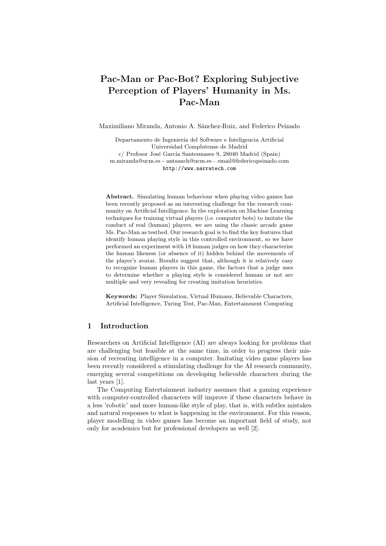# Pac-Man or Pac-Bot? Exploring Subjective Perception of Players' Humanity in Ms. Pac-Man

Maximiliano Miranda, Antonio A. Sánchez-Ruiz, and Federico Peinado

Departamento de Ingeniería del Software e Inteligencia Artificial Universidad Complutense de Madrid c/ Profesor José García Santesmases 9, 28040 Madrid (Spain) m.miranda@ucm.es - antsanch@ucm.es - email@federicopeinado.com http://www.narratech.com

Abstract. Simulating human behaviour when playing video games has been recently proposed as an interesting challenge for the research community on Artificial Intelligence. In the exploration on Machine Learning techniques for training virtual players (i.e. computer bots) to imitate the conduct of real (human) players, we are using the classic arcade game Ms. Pac-Man as testbed. Our research goal is to find the key features that identify human playing style in this controlled environment, so we have performed an experiment with 18 human judges on how they characterise the human likeness (or absence of it) hidden behind the movements of the player's avatar. Results suggest that, although it is relatively easy to recognize human players in this game, the factors that a judge uses to determine whether a playing style is considered human or not are multiple and very revealing for creating imitation heuristics.

Keywords: Player Simulation, Virtual Humans, Believable Characters, Artificial Intelligence, Turing Test, Pac-Man, Entertainment Computing

## 1 Introduction

Researchers on Artificial Intelligence (AI) are always looking for problems that are challenging but feasible at the same time, in order to progress their mission of recreating intelligence in a computer. Imitating video game players has been recently considered a stimulating challenge for the AI research community, emerging several competitions on developing believable characters during the last years [1].

The Computing Entertainment industry assumes that a gaming experience with computer-controlled characters will improve if these characters behave in a less 'robotic' and more human-like style of play, that is, with subtles mistakes and natural responses to what is happening in the environment. For this reason, player modelling in video games has become an important field of study, not only for academics but for professional developers as well [2].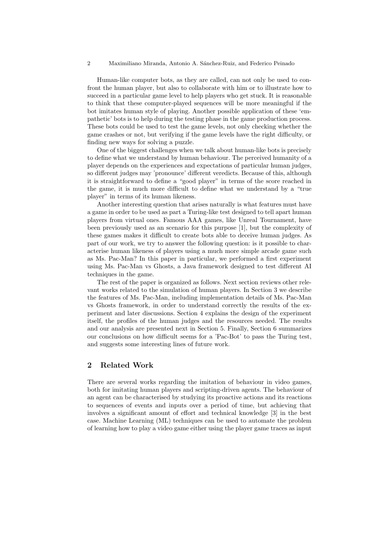Human-like computer bots, as they are called, can not only be used to confront the human player, but also to collaborate with him or to illustrate how to succeed in a particular game level to help players who get stuck. It is reasonable to think that these computer-played sequences will be more meaningful if the bot imitates human style of playing. Another possible application of these 'empathetic' bots is to help during the testing phase in the game production process. These bots could be used to test the game levels, not only checking whether the game crashes or not, but verifying if the game levels have the right difficulty, or finding new ways for solving a puzzle.

One of the biggest challenges when we talk about human-like bots is precisely to define what we understand by human behaviour. The perceived humanity of a player depends on the experiences and expectations of particular human judges, so different judges may 'pronounce' different veredicts. Because of this, although it is straightforward to define a "good player" in terms of the score reached in the game, it is much more difficult to define what we understand by a "true player" in terms of its human likeness.

Another interesting question that arises naturally is what features must have a game in order to be used as part a Turing-like test designed to tell apart human players from virtual ones. Famous AAA games, like Unreal Tournament, have been previously used as an scenario for this purpose [1], but the complexity of these games makes it difficult to create bots able to deceive human judges. As part of our work, we try to answer the following question: is it possible to characterise human likeness of players using a much more simple arcade game such as Ms. Pac-Man? In this paper in particular, we performed a first experiment using Ms. Pac-Man vs Ghosts, a Java framework designed to test different AI techniques in the game.

The rest of the paper is organized as follows. Next section reviews other relevant works related to the simulation of human players. In Section 3 we describe the features of Ms. Pac-Man, including implementation details of Ms. Pac-Man vs Ghosts framework, in order to understand correctly the results of the experiment and later discussions. Section 4 explains the design of the experiment itself, the profiles of the human judges and the resources needed. The results and our analysis are presented next in Section 5. Finally, Section 6 summarizes our conclusions on how difficult seems for a 'Pac-Bot' to pass the Turing test, and suggests some interesting lines of future work.

## 2 Related Work

There are several works regarding the imitation of behaviour in video games, both for imitating human players and scripting-driven agents. The behaviour of an agent can be characterised by studying its proactive actions and its reactions to sequences of events and inputs over a period of time, but achieving that involves a significant amount of effort and technical knowledge [3] in the best case. Machine Learning (ML) techniques can be used to automate the problem of learning how to play a video game either using the player game traces as input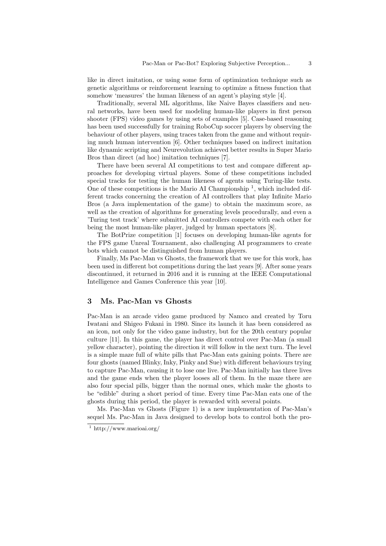like in direct imitation, or using some form of optimization technique such as genetic algorithms or reinforcement learning to optimize a fitness function that somehow 'measures' the human likeness of an agent's playing style [4].

Traditionally, several ML algorithms, like Naive Bayes classifiers and neural networks, have been used for modeling human-like players in first person shooter (FPS) video games by using sets of examples [5]. Case-based reasoning has been used successfully for training RoboCup soccer players by observing the behaviour of other players, using traces taken from the game and without requiring much human intervention [6]. Other techniques based on indirect imitation like dynamic scripting and Neurevolution achieved better results in Super Mario Bros than direct (ad hoc) imitation techniques [7].

There have been several AI competitions to test and compare different approaches for developing virtual players. Some of these competitions included special tracks for testing the human likeness of agents using Turing-like tests. One of these competitions is the Mario AI Championship<sup>1</sup>, which included different tracks concerning the creation of AI controllers that play Infinite Mario Bros (a Java implementation of the game) to obtain the maximum score, as well as the creation of algorithms for generating levels procedurally, and even a 'Turing test track' where submitted AI controllers compete with each other for being the most human-like player, judged by human spectators [8].

The BotPrize competition [1] focuses on developing human-like agents for the FPS game Unreal Tournament, also challenging AI programmers to create bots which cannot be distinguished from human players.

Finally, Ms Pac-Man vs Ghosts, the framework that we use for this work, has been used in different bot competitions during the last years [9]. After some years discontinued, it returned in 2016 and it is running at the IEEE Computational Intelligence and Games Conference this year [10].

# 3 Ms. Pac-Man vs Ghosts

Pac-Man is an arcade video game produced by Namco and created by Toru Iwatani and Shigeo Fukani in 1980. Since its launch it has been considered as an icon, not only for the video game industry, but for the 20th century popular culture [11]. In this game, the player has direct control over Pac-Man (a small yellow character), pointing the direction it will follow in the next turn. The level is a simple maze full of white pills that Pac-Man eats gaining points. There are four ghosts (named Blinky, Inky, Pinky and Sue) with different behaviours trying to capture Pac-Man, causing it to lose one live. Pac-Man initially has three lives and the game ends when the player looses all of them. In the maze there are also four special pills, bigger than the normal ones, which make the ghosts to be "edible" during a short period of time. Every time Pac-Man eats one of the ghosts during this period, the player is rewarded with several points.

Ms. Pac-Man vs Ghosts (Figure 1) is a new implementation of Pac-Man's sequel Ms. Pac-Man in Java designed to develop bots to control both the pro-

<sup>1</sup> http://www.marioai.org/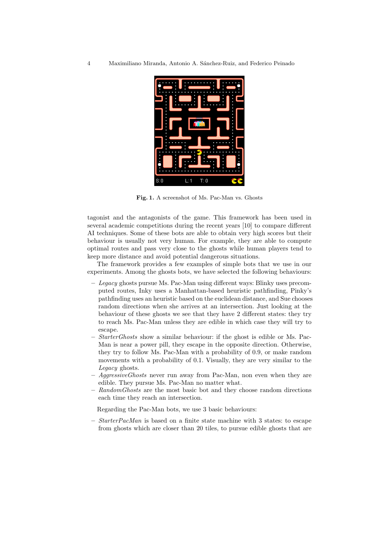

Fig. 1. A screenshot of Ms. Pac-Man vs. Ghosts

tagonist and the antagonists of the game. This framework has been used in several academic competitions during the recent years [10] to compare different AI techniques. Some of these bots are able to obtain very high scores but their behaviour is usually not very human. For example, they are able to compute optimal routes and pass very close to the ghosts while human players tend to keep more distance and avoid potential dangerous situations.

The framework provides a few examples of simple bots that we use in our experiments. Among the ghosts bots, we have selected the following behaviours:

- Legacy ghosts pursue Ms. Pac-Man using different ways: Blinky uses precomputed routes, Inky uses a Manhattan-based heuristic pathfinding, Pinky's pathfinding uses an heuristic based on the euclidean distance, and Sue chooses random directions when she arrives at an intersection. Just looking at the behaviour of these ghosts we see that they have 2 different states: they try to reach Ms. Pac-Man unless they are edible in which case they will try to escape.
- $-$  *StarterGhosts* show a similar behaviour: if the ghost is edible or Ms. Pac-Man is near a power pill, they escape in the opposite direction. Otherwise, they try to follow Ms. Pac-Man with a probability of 0.9, or make random movements with a probability of 0.1. Visually, they are very similar to the Legacy ghosts.
- $-$  Aggressive Ghosts never run away from Pac-Man, non even when they are edible. They pursue Ms. Pac-Man no matter what.
- RandomGhosts are the most basic bot and they choose random directions each time they reach an intersection.

Regarding the Pac-Man bots, we use 3 basic behaviours:

– StarterPacMan is based on a finite state machine with 3 states: to escape from ghosts which are closer than 20 tiles, to pursue edible ghosts that are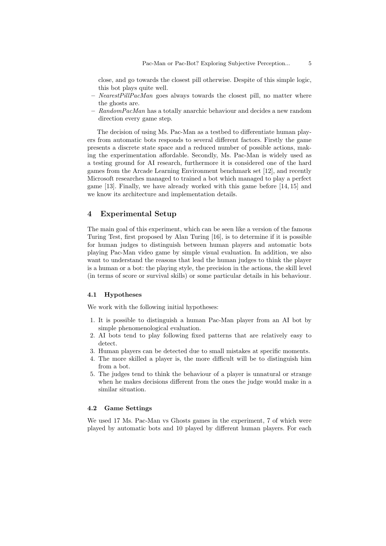close, and go towards the closest pill otherwise. Despite of this simple logic, this bot plays quite well.

- $-$  NearestPillPacMan goes always towards the closest pill, no matter where the ghosts are.
- $-$  RandomPacMan has a totally anarchic behaviour and decides a new random direction every game step.

The decision of using Ms. Pac-Man as a testbed to differentiate human players from automatic bots responds to several different factors. Firstly the game presents a discrete state space and a reduced number of possible actions, making the experimentation affordable. Secondly, Ms. Pac-Man is widely used as a testing ground for AI research, furthermore it is considered one of the hard games from the Arcade Learning Environment benchmark set [12], and recently Microsoft researches managed to trained a bot which managed to play a perfect game [13]. Finally, we have already worked with this game before [14, 15] and we know its architecture and implementation details.

## 4 Experimental Setup

The main goal of this experiment, which can be seen like a version of the famous Turing Test, first proposed by Alan Turing [16], is to determine if it is possible for human judges to distinguish between human players and automatic bots playing Pac-Man video game by simple visual evaluation. In addition, we also want to understand the reasons that lead the human judges to think the player is a human or a bot: the playing style, the precision in the actions, the skill level (in terms of score or survival skills) or some particular details in his behaviour.

## 4.1 Hypotheses

We work with the following initial hypotheses:

- 1. It is possible to distinguish a human Pac-Man player from an AI bot by simple phenomenological evaluation.
- 2. AI bots tend to play following fixed patterns that are relatively easy to detect.
- 3. Human players can be detected due to small mistakes at specific moments.
- 4. The more skilled a player is, the more difficult will be to distinguish him from a bot.
- 5. The judges tend to think the behaviour of a player is unnatural or strange when he makes decisions different from the ones the judge would make in a similar situation.

## 4.2 Game Settings

We used 17 Ms. Pac-Man vs Ghosts games in the experiment, 7 of which were played by automatic bots and 10 played by different human players. For each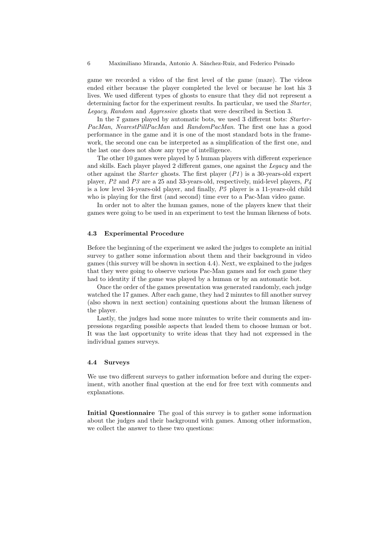game we recorded a video of the first level of the game (maze). The videos ended either because the player completed the level or because he lost his 3 lives. We used different types of ghosts to ensure that they did not represent a determining factor for the experiment results. In particular, we used the Starter, Legacy, Random and Aggressive ghosts that were described in Section 3.

In the 7 games played by automatic bots, we used 3 different bots: Starter-PacMan, NearestPillPacMan and RandomPacMan. The first one has a good performance in the game and it is one of the most standard bots in the framework, the second one can be interpreted as a simplification of the first one, and the last one does not show any type of intelligence.

The other 10 games were played by 5 human players with different experience and skills. Each player played 2 different games, one against the Legacy and the other against the *Starter* ghosts. The first player  $(P1)$  is a 30-years-old expert player, P2 and P3 are a 25 and 33-years-old, respectively, mid-level players, P4 is a low level 34-years-old player, and finally, P5 player is a 11-years-old child who is playing for the first (and second) time ever to a Pac-Man video game.

In order not to alter the human games, none of the players knew that their games were going to be used in an experiment to test the human likeness of bots.

#### 4.3 Experimental Procedure

Before the beginning of the experiment we asked the judges to complete an initial survey to gather some information about them and their background in video games (this survey will be shown in section 4.4). Next, we explained to the judges that they were going to observe various Pac-Man games and for each game they had to identity if the game was played by a human or by an automatic bot.

Once the order of the games presentation was generated randomly, each judge watched the 17 games. After each game, they had 2 minutes to fill another survey (also shown in next section) containing questions about the human likeness of the player.

Lastly, the judges had some more minutes to write their comments and impressions regarding possible aspects that leaded them to choose human or bot. It was the last opportunity to write ideas that they had not expressed in the individual games surveys.

#### 4.4 Surveys

We use two different surveys to gather information before and during the experiment, with another final question at the end for free text with comments and explanations.

Initial Questionnaire The goal of this survey is to gather some information about the judges and their background with games. Among other information, we collect the answer to these two questions: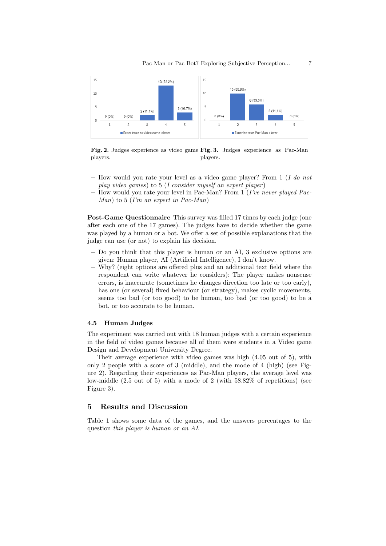

Fig. 2. Judges experience as video game Fig. 3. Judges experience as Pac-Man players. players.

- How would you rate your level as a video game player? From  $1$  (I do not play video games) to  $5$  (I consider myself an expert player)
- How would you rate your level in Pac-Man? From 1 (I've never played Pac- $Man$ ) to 5 (I'm an expert in Pac-Man)

Post-Game Questionnaire This survey was filled 17 times by each judge (one after each one of the 17 games). The judges have to decide whether the game was played by a human or a bot. We offer a set of possible explanations that the judge can use (or not) to explain his decision.

- Do you think that this player is human or an AI, 3 exclusive options are given: Human player, AI (Artificial Intelligence), I don't know.
- Why? (eight options are offered plus and an additional text field where the respondent can write whatever he considers): The player makes nonsense errors, is inaccurate (sometimes he changes direction too late or too early), has one (or several) fixed behaviour (or strategy), makes cyclic movements, seems too bad (or too good) to be human, too bad (or too good) to be a bot, or too accurate to be human.

#### 4.5 Human Judges

The experiment was carried out with 18 human judges with a certain experience in the field of video games because all of them were students in a Video game Design and Development University Degree.

Their average experience with video games was high (4.05 out of 5), with only 2 people with a score of 3 (middle), and the mode of 4 (high) (see Figure 2). Regarding their experiences as Pac-Man players, the average level was low-middle  $(2.5 \text{ out of } 5)$  with a mode of 2 (with  $58.82\%$  of repetitions) (see Figure 3).

## 5 Results and Discussion

Table 1 shows some data of the games, and the answers percentages to the question this player is human or an AI.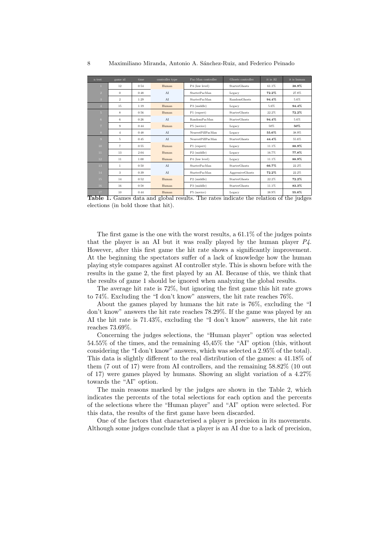| n test                  | game id        | time | controller type | Pac-Man controller      | Ghosts controller       | it is AI | it is human |
|-------------------------|----------------|------|-----------------|-------------------------|-------------------------|----------|-------------|
| $\mathbf{1}$            | 12             | 0:54 | Human           | P4 (low level)          | <b>StarterGhosts</b>    | 61.1%    | 38.9%       |
| $\overline{2}$          | $\Omega$       | 0:48 | AI              | <b>StarterPacMan</b>    | Legacy                  | 72.2%    | 27.8%       |
| $\overline{\mathbf{3}}$ | $\overline{2}$ | 1:29 | AI              | <b>StarterPacMan</b>    | <b>RandomGhosts</b>     | 94.4%    | $5.6\%$     |
| $\overline{4}$          | 15             | 1:19 | Human           | P3 (middle)             | Legacy                  | 5.6%     | 94.4%       |
| 5 <sup>5</sup>          | 8              | 0:56 | Human           | P1 (expert)             | <b>StarterGhosts</b>    | 22.2%    | 72.2%       |
| 6                       | 6              | 0:26 | AI              | RandomPacMan            | <b>StarterGhosts</b>    | 94.4%    | 5.6%        |
| $\overline{7}$          | 9              | 0:44 | Human           | P5 (novice)             | Legacy                  | 50%      | 50%         |
| 8                       | $\overline{4}$ | 0:48 | AI              | NearestPillPacMan       | Legacy                  | 55.6%    | 38.9%       |
| 9                       | 5              | 0:45 | AT              | NearestPillPacMan       | StarterGhosts           | 44.4%    | 55.6%       |
| 10                      | $\overline{7}$ | 0:55 | Human           | P1 (expert)             | Legacy                  | 11.1%    | 88.9%       |
| 11                      | 13             | 2:04 | Human           | P <sub>2</sub> (middle) | Legacy                  | 16.7%    | 77.8%       |
| 12                      | 11             | 1:00 | Human           | P4 (low level)          | Legacy                  | 11.1%    | 88.9%       |
| 13                      | $\mathbf{1}$   | 0:50 | AI              | <b>StarterPacMan</b>    | StarterGhosts           | 66.7%    | 22.2%       |
| 14                      | $\mathbf{3}$   | 0:39 | AI              | <b>StarterPacMan</b>    | <b>AggressiveGhosts</b> | 72.2%    | 22.2%       |
| 15                      | 14             | 0:52 | Human           | P <sub>2</sub> (middle) | <b>StarterGhosts</b>    | 22.2%    | 72.2%       |
| 16                      | 16             | 0:58 | Human           | P3 (middle)             | <b>StarterGhosts</b>    | 11.1%    | 83.3%       |
| 17                      | 10             | 0:44 | Human           | P5 (novice)             | Legacy                  | 38.9%    | 55.6%       |

Table 1. Games data and global results. The rates indicate the relation of the judges elections (in bold those that hit).

The first game is the one with the worst results, a 61.1% of the judges points that the player is an AI but it was really played by the human player  $P\Lambda$ . However, after this first game the hit rate shows a significantly improvement. At the beginning the spectators suffer of a lack of knowledge how the human playing style compares against AI controller style. This is shown before with the results in the game 2, the first played by an AI. Because of this, we think that the results of game 1 should be ignored when analyzing the global results.

The average hit rate is 72%, but ignoring the first game this hit rate grows to 74%. Excluding the "I don't know" answers, the hit rate reaches 76%.

About the games played by humans the hit rate is 76%, excluding the "I don't know" answers the hit rate reaches 78.29%. If the game was played by an AI the hit rate is 71.43%, excluding the "I don't know" answers, the hit rate reaches 73.69%.

Concerning the judges selections, the "Human player" option was selected 54.55% of the times, and the remaining 45,45% the "AI" option (this, without considering the "I don't know" answers, which was selected a 2.95% of the total). This data is slightly different to the real distribution of the games: a 41.18% of them (7 out of 17) were from AI controllers, and the remaining 58.82% (10 out of 17) were games played by humans. Showing an slight variation of a 4.27% towards the "AI" option.

The main reasons marked by the judges are shown in the Table 2, which indicates the percents of the total selections for each option and the percents of the selections where the "Human player" and "AI" option were selected. For this data, the results of the first game have been discarded.

One of the factors that characterised a player is precision in its movements. Although some judges conclude that a player is an AI due to a lack of precision,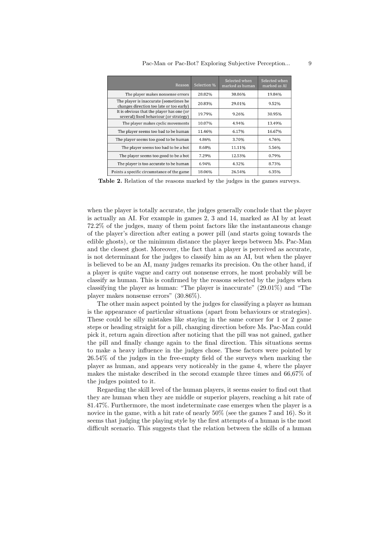| Reason                                                                              | Selection % | Selected when<br>marked as human | Selected when<br>marked as AI |
|-------------------------------------------------------------------------------------|-------------|----------------------------------|-------------------------------|
| The player makes nonsense errors                                                    | 28.82%      | 30.86%                           | 19.84%                        |
| The player is inaccurate (sometimes he<br>changes direction too late or too early)  | 20.83%      | 29.01%                           | 9.52%                         |
| It is obvious that the player has one (or<br>several) fixed behaviour (or strategy) | 19.79%      | 9.26%                            | 30.95%                        |
| The player makes cyclic movements                                                   | 10.07%      | 4.94%                            | 13.49%                        |
| The player seems too bad to be human                                                | 11.46%      | 6.17%                            | 16.67%                        |
| The player seems too good to be human                                               | 4.86%       | 3.70%                            | 4.76%                         |
| The player seems too bad to be a bot                                                | 8.68%       | 11.11%                           | 5.56%                         |
| The player seems too good to be a bot                                               | 7.29%       | 12.53%                           | 0.79%                         |
| The player is too accurate to be human                                              | 6.94%       | 4.32%                            | 8.73%                         |
| Points a specific circumstance of the game                                          | 18.06%      | 26.54%                           | 6.35%                         |

Table 2. Relation of the reasons marked by the judges in the games surveys.

when the player is totally accurate, the judges generally conclude that the player is actually an AI. For example in games 2, 3 and 14, marked as AI by at least 72.2% of the judges, many of them point factors like the instantaneous change of the player's direction after eating a power pill (and starts going towards the edible ghosts), or the minimum distance the player keeps between Ms. Pac-Man and the closest ghost. Moreover, the fact that a player is perceived as accurate, is not determinant for the judges to classify him as an AI, but when the player is believed to be an AI, many judges remarks its precision. On the other hand, if a player is quite vague and carry out nonsense errors, he most probably will be classify as human. This is confirmed by the reasons selected by the judges when classifying the player as human: "The player is inaccurate" (29.01%) and "The player makes nonsense errors" (30.86%).

The other main aspect pointed by the judges for classifying a player as human is the appearance of particular situations (apart from behaviours or strategies). These could be silly mistakes like staying in the same corner for 1 or 2 game steps or heading straight for a pill, changing direction before Ms. Pac-Man could pick it, return again direction after noticing that the pill was not gained, gather the pill and finally change again to the final direction. This situations seems to make a heavy influence in the judges chose. These factors were pointed by 26.54% of the judges in the free-empty field of the surveys when marking the player as human, and appears very noticeably in the game 4, where the player makes the mistake described in the second example three times and 66,67% of the judges pointed to it.

Regarding the skill level of the human players, it seems easier to find out that they are human when they are middle or superior players, reaching a hit rate of 81.47%. Furthermore, the most indeterminate case emerges when the player is a novice in the game, with a hit rate of nearly  $50\%$  (see the games 7 and 16). So it seems that judging the playing style by the first attempts of a human is the most difficult scenario. This suggests that the relation between the skills of a human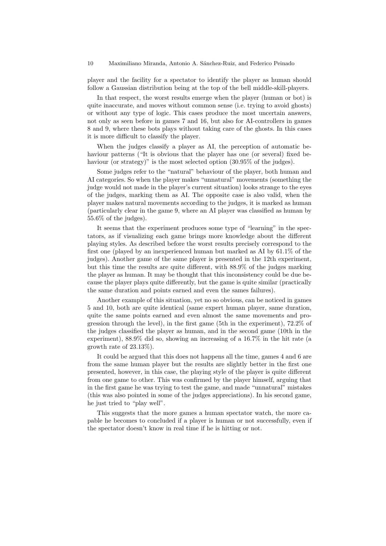player and the facility for a spectator to identify the player as human should follow a Gaussian distribution being at the top of the bell middle-skill-players.

In that respect, the worst results emerge when the player (human or bot) is quite inaccurate, and moves without common sense (i.e. trying to avoid ghosts) or without any type of logic. This cases produce the most uncertain answers, not only as seen before in games 7 and 16, but also for AI-controllers in games 8 and 9, where these bots plays without taking care of the ghosts. In this cases it is more difficult to classify the player.

When the judges classify a player as AI, the perception of automatic behaviour patterns ("It is obvious that the player has one (or several) fixed behaviour (or strategy)" is the most selected option  $(30.95\%$  of the judges).

Some judges refer to the "natural" behaviour of the player, both human and AI categories. So when the player makes "unnatural" movements (something the judge would not made in the player's current situation) looks strange to the eyes of the judges, marking them as AI. The opposite case is also valid, when the player makes natural movements according to the judges, it is marked as human (particularly clear in the game 9, where an AI player was classified as human by 55.6% of the judges).

It seems that the experiment produces some type of "learning" in the spectators, as if visualizing each game brings more knowledge about the different playing styles. As described before the worst results precisely correspond to the first one (played by an inexperienced human but marked as AI by 61.1% of the judges). Another game of the same player is presented in the 12th experiment, but this time the results are quite different, with 88.9% of the judges marking the player as human. It may be thought that this inconsistency could be due because the player plays quite differently, but the game is quite similar (practically the same duration and points earned and even the sames failures).

Another example of this situation, yet no so obvious, can be noticed in games 5 and 10, both are quite identical (same expert human player, same duration, quite the same points earned and even almost the same movements and progression through the level), in the first game (5th in the experiment), 72.2% of the judges classified the player as human, and in the second game (10th in the experiment), 88.9% did so, showing an increasing of a 16.7% in the hit rate (a growth rate of 23.13%).

It could be argued that this does not happens all the time, games 4 and 6 are from the same human player but the results are slightly better in the first one presented, however, in this case, the playing style of the player is quite different from one game to other. This was confirmed by the player himself, arguing that in the first game he was trying to test the game, and made "unnatural" mistakes (this was also pointed in some of the judges appreciations). In his second game, he just tried to "play well".

This suggests that the more games a human spectator watch, the more capable he becomes to concluded if a player is human or not successfully, even if the spectator doesn't know in real time if he is hitting or not.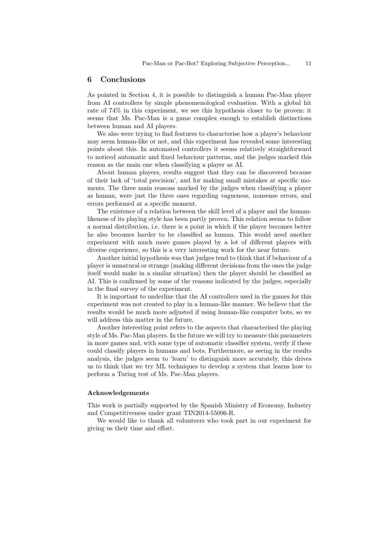## 6 Conclusions

As pointed in Section 4, it is possible to distinguish a human Pac-Man player from AI controllers by simple phenomenological evaluation. With a global hit rate of 74% in this experiment, we see this hypothesis closer to be proven: it seems that Ms. Pac-Man is a game complex enough to establish distinctions between human and AI players.

We also were trying to find features to characterise how a player's behaviour may seem human-like or not, and this experiment has revealed some interesting points about this. In automated controllers it seems relatively straightforward to noticed automatic and fixed behaviour patterns, and the judges marked this reason as the main one when classifying a player as AI.

About human players, results suggest that they can be discovered because of their lack of 'total precision', and for making small mistakes at specific moments. The three main reasons marked by the judges when classifying a player as human, were just the three ones regarding vagueness, nonsense errors, and errors performed at a specific moment.

The existence of a relation between the skill level of a player and the humanlikeness of its playing style has been partly proven. This relation seems to follow a normal distribution, i.e. there is a point in which if the player becomes better he also becomes harder to be classified as human. This would need another experiment with much more games played by a lot of different players with diverse experience, so this is a very interesting work for the near future.

Another initial hypothesis was that judges tend to think that if behaviour of a player is unnatural or strange (making different decisions from the ones the judge itself would make in a similar situation) then the player should be classified as AI. This is confirmed by some of the reasons indicated by the judges, especially in the final survey of the experiment.

It is important to underline that the AI controllers used in the games for this experiment was not created to play in a human-like manner. We believe that the results would be much more adjusted if using human-like computer bots, so we will address this matter in the future.

Another interesting point refers to the aspects that characterised the playing style of Ms. Pac-Man players. In the future we will try to measure this parameters in more games and, with some type of automatic classifier system, verify if these could classify players in humans and bots. Furthermore, as seeing in the results analysis, the judges seem to 'learn' to distinguish more accurately, this drives us to think that we try ML techniques to develop a system that learns how to perform a Turing test of Ms. Pac-Man players.

#### Acknowledgements

This work is partially supported by the Spanish Ministry of Economy, Industry and Competitiveness under grant TIN2014-55006-R.

We would like to thank all volunteers who took part in our experiment for giving us their time and effort.